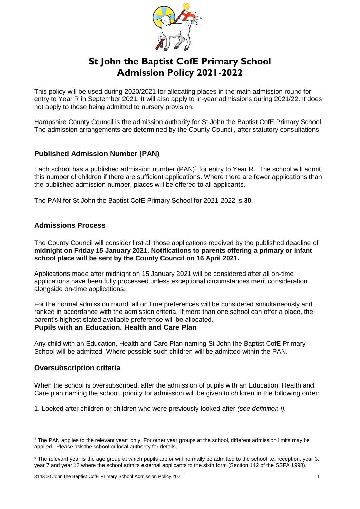

# **St John the Baptist CofE Primary School Admission Policy 2021-2022**

This policy will be used during 2020/2021 for allocating places in the main admission round for entry to Year R in September 2021. It will also apply to in-year admissions during 2021/22. It does not apply to those being admitted to nursery provision.

Hampshire County Council is the admission authority for St John the Baptist CofE Primary School. The admission arrangements are determined by the County Council, after statutory consultations.

# **Published Admission Number (PAN)**

Each school has a published admission number (PAN)<sup>1</sup> for entry to Year R. The school will admit this number of children if there are sufficient applications. Where there are fewer applications than the published admission number, places will be offered to all applicants.

The PAN for St John the Baptist CofE Primary School for 2021-2022 is **30**.

## **Admissions Process**

The County Council will consider first all those applications received by the published deadline of **midnight on Friday 15 January 2021**. **Notifications to parents offering a primary or infant school place will be sent by the County Council on 16 April 2021.**

Applications made after midnight on 15 January 2021 will be considered after all on-time applications have been fully processed unless exceptional circumstances merit consideration alongside on-time applications.

For the normal admission round, all on time preferences will be considered simultaneously and ranked in accordance with the admission criteria. If more than one school can offer a place, the parent's highest stated available preference will be allocated.

# **Pupils with an Education, Health and Care Plan**

Any child with an Education, Health and Care Plan naming St John the Baptist CofE Primary School will be admitted. Where possible such children will be admitted within the PAN.

## **Oversubscription criteria**

When the school is oversubscribed, after the admission of pupils with an Education, Health and Care plan naming the school, priority for admission will be given to children in the following order:

1. Looked after children or children who were previously looked after *(see definition i).* 

3143 St John the Baptist CofE Primary School Admission Policy 2021 1

<sup>1</sup> <sup>1</sup> The PAN applies to the relevant year\* only. For other year groups at the school, different admission limits may be applied. Please ask the school or local authority for details.

<sup>\*</sup> The relevant year is the age group at which pupils are or will normally be admitted to the school i.e. reception, year 3, year 7 and year 12 where the school admits external applicants to the sixth form (Section 142 of the SSFA 1998).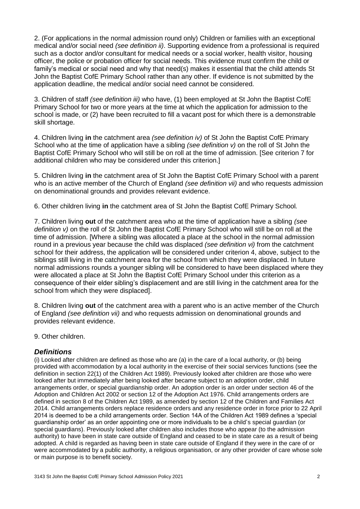2. (For applications in the normal admission round only) Children or families with an exceptional medical and/or social need *(see definition ii)*. Supporting evidence from a professional is required such as a doctor and/or consultant for medical needs or a social worker, health visitor, housing officer, the police or probation officer for social needs. This evidence must confirm the child or family's medical or social need and why that need(s) makes it essential that the child attends St John the Baptist CofE Primary School rather than any other. If evidence is not submitted by the application deadline, the medical and/or social need cannot be considered.

3. Children of staff *(see definition iii)* who have, (1) been employed at St John the Baptist CofE Primary School for two or more years at the time at which the application for admission to the school is made, or (2) have been recruited to fill a vacant post for which there is a demonstrable skill shortage.

4. Children living **in** the catchment area *(see definition iv)* of St John the Baptist CofE Primary School who at the time of application have a sibling *(see definition v)* on the roll of St John the Baptist CofE Primary School who will still be on roll at the time of admission. [See criterion 7 for additional children who may be considered under this criterion.]

5. Children living **in** the catchment area of St John the Baptist CofE Primary School with a parent who is an active member of the Church of England *(see definition vii)* and who requests admission on denominational grounds and provides relevant evidence.

6. Other children living **in** the catchment area of St John the Baptist CofE Primary School*.*

7. Children living **out** of the catchment area who at the time of application have a sibling *(see definition v)* on the roll of St John the Baptist CofE Primary School who will still be on roll at the time of admission. [Where a sibling was allocated a place at the school in the normal admission round in a previous year because the child was displaced *(see definition vi)* from the catchment school for their address, the application will be considered under criterion 4, above, subject to the siblings still living in the catchment area for the school from which they were displaced. In future normal admissions rounds a younger sibling will be considered to have been displaced where they were allocated a place at St John the Baptist CofE Primary School under this criterion as a consequence of their elder sibling's displacement and are still living in the catchment area for the school from which they were displaced].

8. Children living **out** of the catchment area with a parent who is an active member of the Church of England *(see definition vii)* and who requests admission on denominational grounds and provides relevant evidence.

9. Other children.

#### *Definitions*

(i) Looked after children are defined as those who are (a) in the care of a local authority, or (b) being provided with accommodation by a local authority in the exercise of their social services functions (see the definition in section 22(1) of the Children Act 1989). Previously looked after children are those who were looked after but immediately after being looked after became subject to an adoption order, child arrangements order, or special guardianship order. An adoption order is an order under section 46 of the Adoption and Children Act 2002 or section 12 of the Adoption Act 1976. Child arrangements orders are defined in section 8 of the Children Act 1989, as amended by section 12 of the Children and Families Act 2014. Child arrangements orders replace residence orders and any residence order in force prior to 22 April 2014 is deemed to be a child arrangements order. Section 14A of the Children Act 1989 defines a 'special guardianship order' as an order appointing one or more individuals to be a child's special guardian (or special guardians). Previously looked after children also includes those who appear (to the admission authority) to have been in state care outside of England and ceased to be in state care as a result of being adopted. A child is regarded as having been in state care outside of England if they were in the care of or were accommodated by a public authority, a religious organisation, or any other provider of care whose sole or main purpose is to benefit society.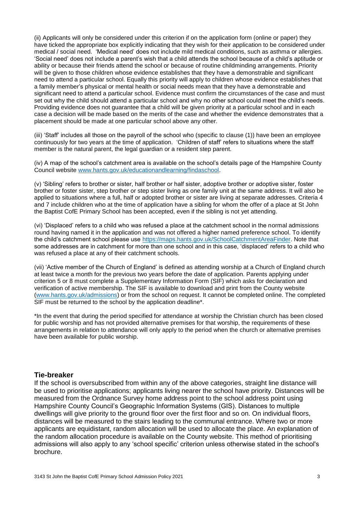(ii) Applicants will only be considered under this criterion if on the application form (online or paper) they have ticked the appropriate box explicitly indicating that they wish for their application to be considered under medical / social need. 'Medical need' does not include mild medical conditions, such as asthma or allergies. 'Social need' does not include a parent's wish that a child attends the school because of a child's aptitude or ability or because their friends attend the school or because of routine childminding arrangements. Priority will be given to those children whose evidence establishes that they have a demonstrable and significant need to attend a particular school. Equally this priority will apply to children whose evidence establishes that a family member's physical or mental health or social needs mean that they have a demonstrable and significant need to attend a particular school. Evidence must confirm the circumstances of the case and must set out why the child should attend a particular school and why no other school could meet the child's needs. Providing evidence does not guarantee that a child will be given priority at a particular school and in each case a decision will be made based on the merits of the case and whether the evidence demonstrates that a placement should be made at one particular school above any other.

(iii) 'Staff' includes all those on the payroll of the school who (specific to clause (1)) have been an employee continuously for two years at the time of application. 'Children of staff' refers to situations where the staff member is the natural parent, the legal guardian or a resident step parent.

(iv) A map of the school's catchment area is available on the school's details page of the Hampshire County Council website [www.hants.gov.uk/educationandlearning/findaschool.](http://www.hants.gov.uk/educationandlearning/findaschool)

(v) 'Sibling' refers to brother or sister, half brother or half sister, adoptive brother or adoptive sister, foster brother or foster sister, step brother or step sister living as one family unit at the same address. It will also be applied to situations where a full, half or adopted brother or sister are living at separate addresses. Criteria 4 and 7 include children who at the time of application have a sibling for whom the offer of a place at St John the Baptist CofE Primary School has been accepted, even if the sibling is not yet attending.

(vi) 'Displaced' refers to a child who was refused a place at the catchment school in the normal admissions round having named it in the application and was not offered a higher named preference school. To identify the child's catchment school please use [https://maps.hants.gov.uk/SchoolCatchmentAreaFinder.](https://maps.hants.gov.uk/SchoolCatchmentAreaFinder/) Note that some addresses are in catchment for more than one school and in this case, 'displaced' refers to a child who was refused a place at any of their catchment schools.

(vii) 'Active member of the Church of England' is defined as attending worship at a Church of England church at least twice a month for the previous two years before the date of application. Parents applying under criterion 5 or 8 must complete a Supplementary Information Form (SIF) which asks for declaration and verification of active membership. The SIF is available to download and print from the County website [\(www.hants.gov.uk/admissions\)](http://www.hants.gov.uk/admissions) or from the school on request. It cannot be completed online. The completed SIF must be returned to the school by the application deadline\*.

\*In the event that during the period specified for attendance at worship the Christian church has been closed for public worship and has not provided alternative premises for that worship, the requirements of these arrangements in relation to attendance will only apply to the period when the church or alternative premises have been available for public worship.

#### **Tie-breaker**

If the school is oversubscribed from within any of the above categories, straight line distance will be used to prioritise applications; applicants living nearer the school have priority. Distances will be measured from the Ordnance Survey home address point to the school address point using Hampshire County Council's Geographic Information Systems (GIS). Distances to multiple dwellings will give priority to the ground floor over the first floor and so on. On individual floors, distances will be measured to the stairs leading to the communal entrance. Where two or more applicants are equidistant, random allocation will be used to allocate the place. An explanation of the random allocation procedure is available on the County website. This method of prioritising admissions will also apply to any 'school specific' criterion unless otherwise stated in the school's brochure.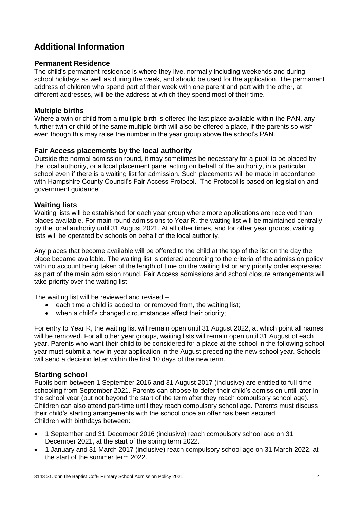# **Additional Information**

#### **Permanent Residence**

The child's permanent residence is where they live, normally including weekends and during school holidays as well as during the week, and should be used for the application. The permanent address of children who spend part of their week with one parent and part with the other, at different addresses, will be the address at which they spend most of their time.

#### **Multiple births**

Where a twin or child from a multiple birth is offered the last place available within the PAN, any further twin or child of the same multiple birth will also be offered a place, if the parents so wish, even though this may raise the number in the year group above the school's PAN.

#### **Fair Access placements by the local authority**

Outside the normal admission round, it may sometimes be necessary for a pupil to be placed by the local authority, or a local placement panel acting on behalf of the authority, in a particular school even if there is a waiting list for admission. Such placements will be made in accordance with Hampshire County Council's Fair Access Protocol. The Protocol is based on legislation and government guidance.

#### **Waiting lists**

Waiting lists will be established for each year group where more applications are received than places available. For main round admissions to Year R, the waiting list will be maintained centrally by the local authority until 31 August 2021. At all other times, and for other year groups, waiting lists will be operated by schools on behalf of the local authority.

Any places that become available will be offered to the child at the top of the list on the day the place became available. The waiting list is ordered according to the criteria of the admission policy with no account being taken of the length of time on the waiting list or any priority order expressed as part of the main admission round. Fair Access admissions and school closure arrangements will take priority over the waiting list.

The waiting list will be reviewed and revised –

- each time a child is added to, or removed from, the waiting list;
- when a child's changed circumstances affect their priority;

For entry to Year R, the waiting list will remain open until 31 August 2022, at which point all names will be removed. For all other year groups, waiting lists will remain open until 31 August of each year. Parents who want their child to be considered for a place at the school in the following school year must submit a new in-year application in the August preceding the new school year. Schools will send a decision letter within the first 10 days of the new term.

#### **Starting school**

Pupils born between 1 September 2016 and 31 August 2017 (inclusive) are entitled to full-time schooling from September 2021. Parents can choose to defer their child's admission until later in the school year (but not beyond the start of the term after they reach compulsory school age). Children can also attend part-time until they reach compulsory school age. Parents must discuss their child's starting arrangements with the school once an offer has been secured. Children with birthdays between:

- 1 September and 31 December 2016 (inclusive) reach compulsory school age on 31 December 2021, at the start of the spring term 2022.
- 1 January and 31 March 2017 (inclusive) reach compulsory school age on 31 March 2022, at the start of the summer term 2022.